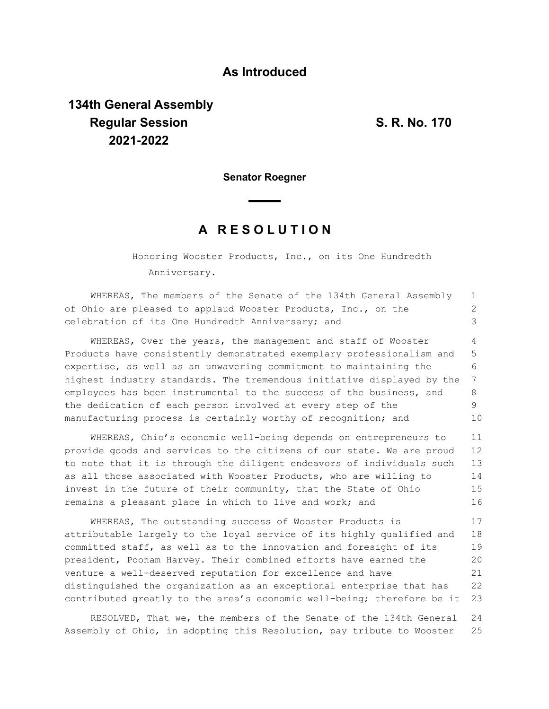## **As Introduced**

## **134th General Assembly Regular Session S. R. No. 170 2021-2022**

**Senator Roegner**

## **A R E S O L U T I O N**

Honoring Wooster Products, Inc., on its One Hundredth Anniversary.

WHEREAS, The members of the Senate of the 134th General Assembly of Ohio are pleased to applaud Wooster Products, Inc., on the celebration of its One Hundredth Anniversary; and WHEREAS, Over the years, the management and staff of Wooster Products have consistently demonstrated exemplary professionalism and expertise, as well as an unwavering commitment to maintaining the highest industry standards. The tremendous initiative displayed by the employees has been instrumental to the success of the business, and the dedication of each person involved at every step of the manufacturing process is certainly worthy of recognition; and 1 2 3 4 5 6 7 8 9 10

WHEREAS, Ohio's economic well-being depends on entrepreneurs to provide goods and services to the citizens of our state. We are proud to note that it is through the diligent endeavors of individuals such as all those associated with Wooster Products, who are willing to invest in the future of their community, that the State of Ohio remains a pleasant place in which to live and work; and 11 12 13 14 15 16

WHEREAS, The outstanding success of Wooster Products is attributable largely to the loyal service of its highly qualified and committed staff, as well as to the innovation and foresight of its president, Poonam Harvey. Their combined efforts have earned the venture a well-deserved reputation for excellence and have distinguished the organization as an exceptional enterprise that has contributed greatly to the area's economic well-being; therefore be it 17 18 19 20 21 22 23

RESOLVED, That we, the members of the Senate of the 134th General Assembly of Ohio, in adopting this Resolution, pay tribute to Wooster 24 25